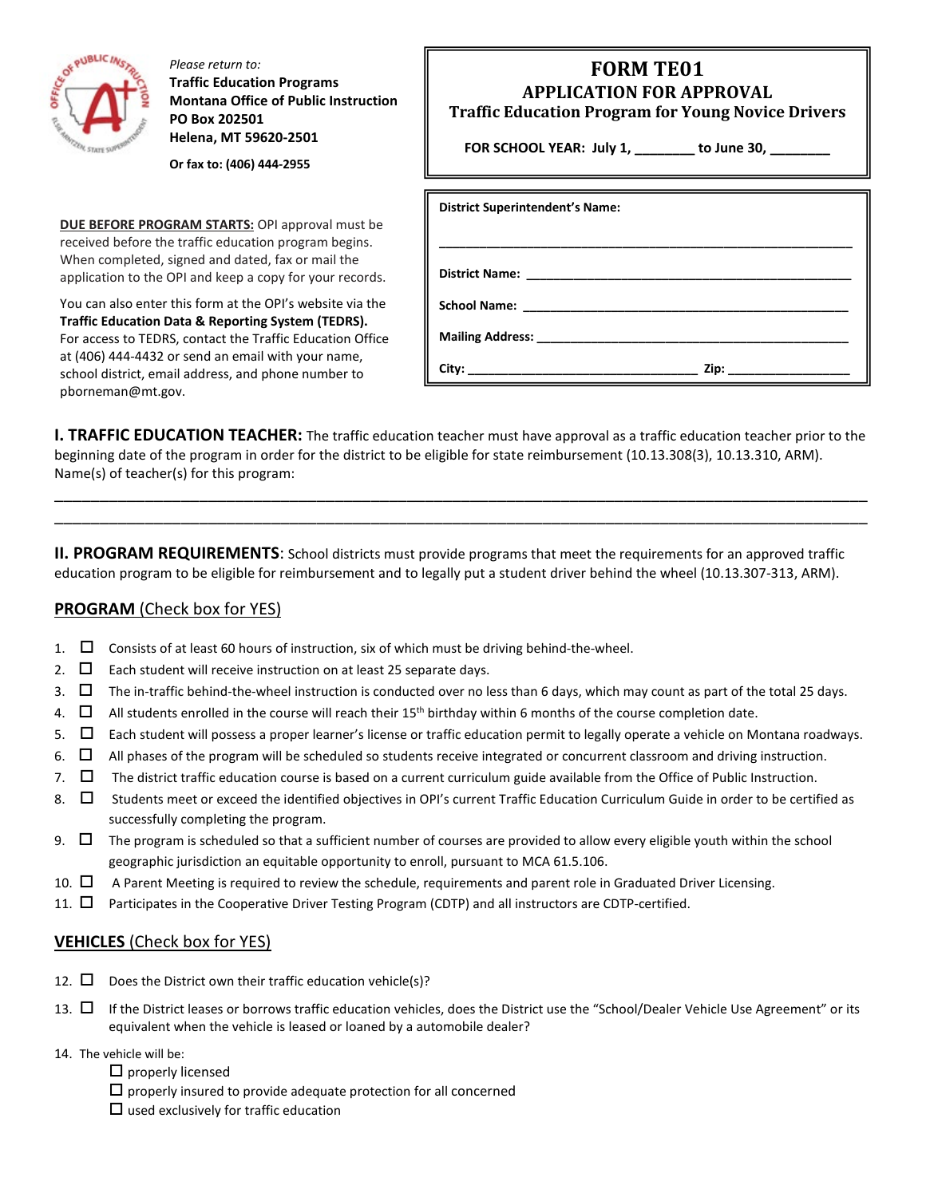

*Please return to:* **Traffic Education Programs Montana Office of Public Instruction PO Box 202501 Helena, MT 59620-2501**

**Or fax to: (406) 444-2955**

**DUE BEFORE PROGRAM STARTS:** OPI approval must be received before the traffic education program begins. When completed, signed and dated, fax or mail the application to the OPI and keep a copy for your records.

You can also enter this form at the OPI's website via the **Traffic Education Data & Reporting System (TEDRS).** For access to TEDRS, contact the Traffic Education Office at (406) 444-4432 or send an email with your name, school district, email address, and phone number to pborneman@mt.gov.

| <b>FORM TE01</b><br><b>APPLICATION FOR APPROVAL</b><br><b>Traffic Education Program for Young Novice Drivers</b><br>FOR SCHOOL YEAR: July 1, _______ to June 30, ______<br>the control of the control of the |
|--------------------------------------------------------------------------------------------------------------------------------------------------------------------------------------------------------------|
| <b>District Superintendent's Name:</b>                                                                                                                                                                       |
| <b>Mailing Address:</b>                                                                                                                                                                                      |

**City: \_\_\_\_\_\_\_\_\_\_\_\_\_\_\_\_\_\_\_\_\_\_\_\_\_\_\_\_\_\_\_\_\_\_ Zip: \_\_\_\_\_\_\_\_\_\_\_\_\_\_\_\_\_\_**

**I. TRAFFIC EDUCATION TEACHER:** The traffic education teacher must have approval as a traffic education teacher prior to the beginning date of the program in order for the district to be eligible for state reimbursement (10.13.308(3), 10.13.310, ARM). Name(s) of teacher(s) for this program:

\_\_\_\_\_\_\_\_\_\_\_\_\_\_\_\_\_\_\_\_\_\_\_\_\_\_\_\_\_\_\_\_\_\_\_\_\_\_\_\_\_\_\_\_\_\_\_\_\_\_\_\_\_\_\_\_\_\_\_\_\_\_\_\_\_\_\_\_\_\_\_\_\_\_\_\_\_\_\_\_\_\_\_\_\_\_\_\_\_\_ \_\_\_\_\_\_\_\_\_\_\_\_\_\_\_\_\_\_\_\_\_\_\_\_\_\_\_\_\_\_\_\_\_\_\_\_\_\_\_\_\_\_\_\_\_\_\_\_\_\_\_\_\_\_\_\_\_\_\_\_\_\_\_\_\_\_\_\_\_\_\_\_\_\_\_\_\_\_\_\_\_\_\_\_\_\_\_\_\_\_

**II. PROGRAM REQUIREMENTS**: School districts must provide programs that meet the requirements for an approved traffic education program to be eligible for reimbursement and to legally put a student driver behind the wheel (10.13.307-313, ARM).

## **PROGRAM** (Check box for YES)

- 1.  $\Box$  Consists of at least 60 hours of instruction, six of which must be driving behind-the-wheel.
- 2.  $\Box$  Each student will receive instruction on at least 25 separate days.
- 3.  $\Box$  The in-traffic behind-the-wheel instruction is conducted over no less than 6 days, which may count as part of the total 25 days.
- 4.  $\Box$  All students enrolled in the course will reach their 15<sup>th</sup> birthday within 6 months of the course completion date.
- 5.  $\Box$  Each student will possess a proper learner's license or traffic education permit to legally operate a vehicle on Montana roadways.
- 6.  $\Box$  All phases of the program will be scheduled so students receive integrated or concurrent classroom and driving instruction.
- 7.  $\Box$  The district traffic education course is based on a current curriculum guide available from the Office of Public Instruction.
- 8.  $\Box$  Students meet or exceed the identified objectives in OPI's current Traffic Education Curriculum Guide in order to be certified as successfully completing the program.
- 9.  $\Box$  The program is scheduled so that a sufficient number of courses are provided to allow every eligible youth within the school geographic jurisdiction an equitable opportunity to enroll, pursuant to MCA 61.5.106.
- 10.  $\Box$  A Parent Meeting is required to review the schedule, requirements and parent role in Graduated Driver Licensing.
- 11.  $\Box$  Participates in the Cooperative Driver Testing Program (CDTP) and all instructors are CDTP-certified.

## **VEHICLES** (Check box for YES)

- 12.  $\square$  Does the District own their traffic education vehicle(s)?
- 13.  $\Box$  If the District leases or borrows traffic education vehicles, does the District use the "School/Dealer Vehicle Use Agreement" or its equivalent when the vehicle is leased or loaned by a automobile dealer?
- 14. The vehicle will be:
	- $\square$  properly licensed
	- $\Box$  properly insured to provide adequate protection for all concerned  $\square$  used exclusively for traffic education